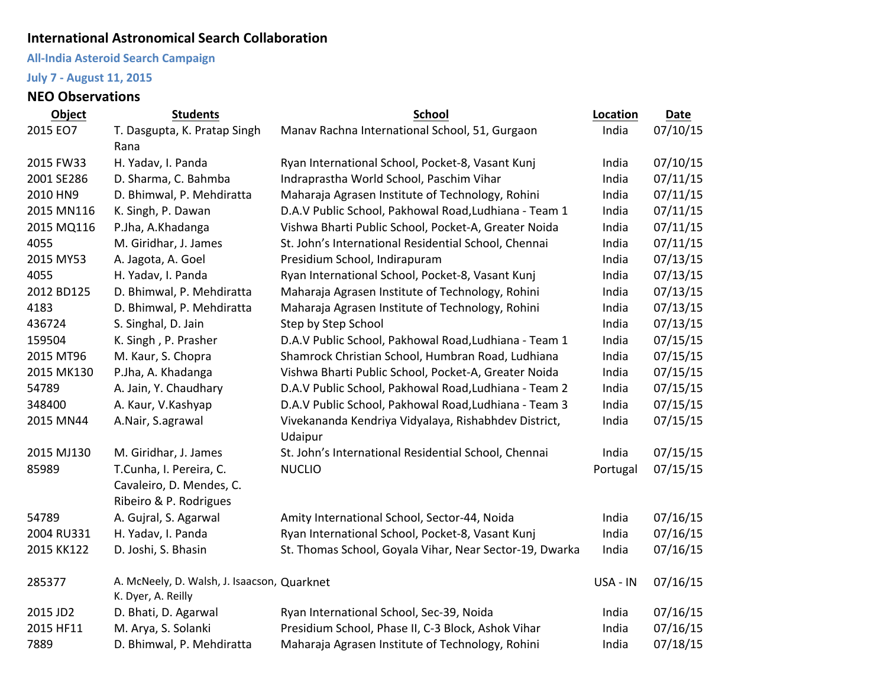## **International Astronomical Search Collaboration**

## **All-India Asteroid Search Campaign**

## **July 7 - August 11, 2015**

## **NEO Observations**

| Object     | <b>Students</b>                             | <b>School</b>                                           |          | Date     |
|------------|---------------------------------------------|---------------------------------------------------------|----------|----------|
| 2015 EO7   | T. Dasgupta, K. Pratap Singh                | Manav Rachna International School, 51, Gurgaon          |          | 07/10/15 |
|            | Rana                                        |                                                         |          |          |
| 2015 FW33  | H. Yadav, I. Panda                          | Ryan International School, Pocket-8, Vasant Kunj        | India    | 07/10/15 |
| 2001 SE286 | D. Sharma, C. Bahmba                        | Indraprastha World School, Paschim Vihar                | India    | 07/11/15 |
| 2010 HN9   | D. Bhimwal, P. Mehdiratta                   | Maharaja Agrasen Institute of Technology, Rohini        |          | 07/11/15 |
| 2015 MN116 | K. Singh, P. Dawan                          | D.A.V Public School, Pakhowal Road, Ludhiana - Team 1   |          | 07/11/15 |
| 2015 MQ116 | P.Jha, A.Khadanga                           | Vishwa Bharti Public School, Pocket-A, Greater Noida    | India    | 07/11/15 |
| 4055       | M. Giridhar, J. James                       | St. John's International Residential School, Chennai    | India    | 07/11/15 |
| 2015 MY53  | A. Jagota, A. Goel                          | Presidium School, Indirapuram                           |          | 07/13/15 |
| 4055       | H. Yadav, I. Panda                          | Ryan International School, Pocket-8, Vasant Kunj        | India    | 07/13/15 |
| 2012 BD125 | D. Bhimwal, P. Mehdiratta                   | Maharaja Agrasen Institute of Technology, Rohini        |          | 07/13/15 |
| 4183       | D. Bhimwal, P. Mehdiratta                   | Maharaja Agrasen Institute of Technology, Rohini        | India    | 07/13/15 |
| 436724     | S. Singhal, D. Jain                         | Step by Step School                                     | India    | 07/13/15 |
| 159504     | K. Singh, P. Prasher                        | D.A.V Public School, Pakhowal Road, Ludhiana - Team 1   | India    | 07/15/15 |
| 2015 MT96  | M. Kaur, S. Chopra                          | Shamrock Christian School, Humbran Road, Ludhiana       | India    | 07/15/15 |
| 2015 MK130 | P.Jha, A. Khadanga                          | Vishwa Bharti Public School, Pocket-A, Greater Noida    | India    | 07/15/15 |
| 54789      | A. Jain, Y. Chaudhary                       | D.A.V Public School, Pakhowal Road, Ludhiana - Team 2   | India    | 07/15/15 |
| 348400     | A. Kaur, V. Kashyap                         | D.A.V Public School, Pakhowal Road, Ludhiana - Team 3   | India    | 07/15/15 |
| 2015 MN44  | A.Nair, S.agrawal                           | Vivekananda Kendriya Vidyalaya, Rishabhdev District,    | India    | 07/15/15 |
|            |                                             | Udaipur                                                 |          |          |
| 2015 MJ130 | M. Giridhar, J. James                       | St. John's International Residential School, Chennai    | India    | 07/15/15 |
| 85989      | T.Cunha, I. Pereira, C.                     | <b>NUCLIO</b>                                           | Portugal | 07/15/15 |
|            | Cavaleiro, D. Mendes, C.                    |                                                         |          |          |
|            | Ribeiro & P. Rodrigues                      |                                                         |          |          |
| 54789      | A. Gujral, S. Agarwal                       | Amity International School, Sector-44, Noida            | India    | 07/16/15 |
| 2004 RU331 | H. Yadav, I. Panda                          | Ryan International School, Pocket-8, Vasant Kunj        | India    | 07/16/15 |
| 2015 KK122 | D. Joshi, S. Bhasin                         | St. Thomas School, Goyala Vihar, Near Sector-19, Dwarka | India    | 07/16/15 |
| 285377     | A. McNeely, D. Walsh, J. Isaacson, Quarknet |                                                         | USA - IN | 07/16/15 |
|            | K. Dyer, A. Reilly                          |                                                         |          |          |
| 2015 JD2   | D. Bhati, D. Agarwal                        | Ryan International School, Sec-39, Noida                | India    | 07/16/15 |
| 2015 HF11  | M. Arya, S. Solanki                         | Presidium School, Phase II, C-3 Block, Ashok Vihar      | India    | 07/16/15 |
| 7889       | D. Bhimwal, P. Mehdiratta                   | Maharaja Agrasen Institute of Technology, Rohini        | India    | 07/18/15 |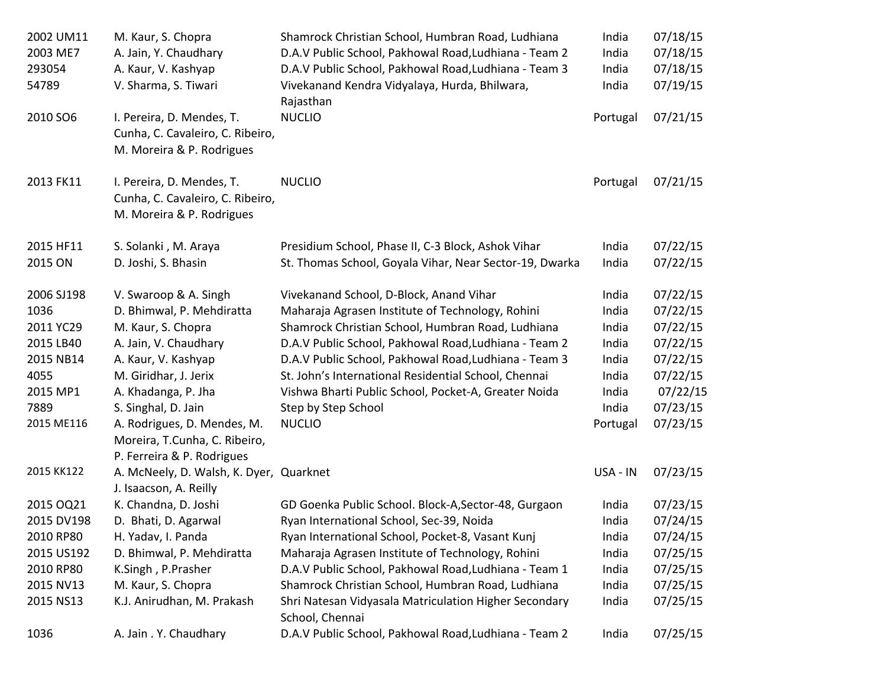| 2002 UM11                     | M. Kaur, S. Chopra                                                                         | Shamrock Christian School, Humbran Road, Ludhiana                        | India    | 07/18/15 |
|-------------------------------|--------------------------------------------------------------------------------------------|--------------------------------------------------------------------------|----------|----------|
| 2003 ME7                      | A. Jain, Y. Chaudhary                                                                      | D.A.V Public School, Pakhowal Road, Ludhiana - Team 2                    | India    | 07/18/15 |
| 293054                        | A. Kaur, V. Kashyap                                                                        | D.A.V Public School, Pakhowal Road, Ludhiana - Team 3                    | India    | 07/18/15 |
| 54789<br>V. Sharma, S. Tiwari |                                                                                            | Vivekanand Kendra Vidyalaya, Hurda, Bhilwara,<br>Rajasthan               | India    | 07/19/15 |
| 2010 SO6                      | I. Pereira, D. Mendes, T.<br>Cunha, C. Cavaleiro, C. Ribeiro,<br>M. Moreira & P. Rodrigues | <b>NUCLIO</b>                                                            | Portugal | 07/21/15 |
| 2013 FK11                     | I. Pereira, D. Mendes, T.<br>Cunha, C. Cavaleiro, C. Ribeiro,<br>M. Moreira & P. Rodrigues | <b>NUCLIO</b>                                                            | Portugal | 07/21/15 |
| 2015 HF11                     | S. Solanki, M. Araya                                                                       | Presidium School, Phase II, C-3 Block, Ashok Vihar                       | India    | 07/22/15 |
| 2015 ON                       | D. Joshi, S. Bhasin                                                                        | St. Thomas School, Goyala Vihar, Near Sector-19, Dwarka                  | India    | 07/22/15 |
| 2006 SJ198                    | V. Swaroop & A. Singh                                                                      | Vivekanand School, D-Block, Anand Vihar                                  | India    | 07/22/15 |
| 1036                          | D. Bhimwal, P. Mehdiratta                                                                  | Maharaja Agrasen Institute of Technology, Rohini                         | India    | 07/22/15 |
| 2011 YC29                     | M. Kaur, S. Chopra                                                                         | Shamrock Christian School, Humbran Road, Ludhiana                        | India    | 07/22/15 |
| 2015 LB40                     | A. Jain, V. Chaudhary                                                                      | D.A.V Public School, Pakhowal Road, Ludhiana - Team 2                    | India    | 07/22/15 |
| 2015 NB14                     | A. Kaur, V. Kashyap                                                                        | D.A.V Public School, Pakhowal Road, Ludhiana - Team 3                    | India    | 07/22/15 |
| 4055                          | M. Giridhar, J. Jerix                                                                      | St. John's International Residential School, Chennai                     | India    | 07/22/15 |
| 2015 MP1                      | A. Khadanga, P. Jha                                                                        | Vishwa Bharti Public School, Pocket-A, Greater Noida                     | India    | 07/22/15 |
| 7889                          | S. Singhal, D. Jain                                                                        | Step by Step School                                                      | India    | 07/23/15 |
| 2015 ME116                    | A. Rodrigues, D. Mendes, M.<br>Moreira, T.Cunha, C. Ribeiro,<br>P. Ferreira & P. Rodrigues | <b>NUCLIO</b>                                                            | Portugal | 07/23/15 |
| 2015 KK122                    | A. McNeely, D. Walsh, K. Dyer, Quarknet<br>J. Isaacson, A. Reilly                          |                                                                          | USA - IN | 07/23/15 |
| 2015 OQ21                     | K. Chandna, D. Joshi                                                                       | GD Goenka Public School. Block-A, Sector-48, Gurgaon                     | India    | 07/23/15 |
| 2015 DV198                    | D. Bhati, D. Agarwal                                                                       | Ryan International School, Sec-39, Noida                                 | India    | 07/24/15 |
| 2010 RP80                     | H. Yadav, I. Panda                                                                         | Ryan International School, Pocket-8, Vasant Kunj                         | India    | 07/24/15 |
| 2015 US192                    | D. Bhimwal, P. Mehdiratta                                                                  | Maharaja Agrasen Institute of Technology, Rohini                         | India    | 07/25/15 |
| 2010 RP80                     | K.Singh, P.Prasher                                                                         | D.A.V Public School, Pakhowal Road, Ludhiana - Team 1                    | India    | 07/25/15 |
| 2015 NV13                     | M. Kaur, S. Chopra                                                                         | Shamrock Christian School, Humbran Road, Ludhiana                        | India    | 07/25/15 |
| 2015 NS13                     | K.J. Anirudhan, M. Prakash                                                                 | Shri Natesan Vidyasala Matriculation Higher Secondary<br>School, Chennai | India    | 07/25/15 |
| 1036                          | A. Jain . Y. Chaudhary                                                                     | D.A.V Public School, Pakhowal Road, Ludhiana - Team 2                    | India    | 07/25/15 |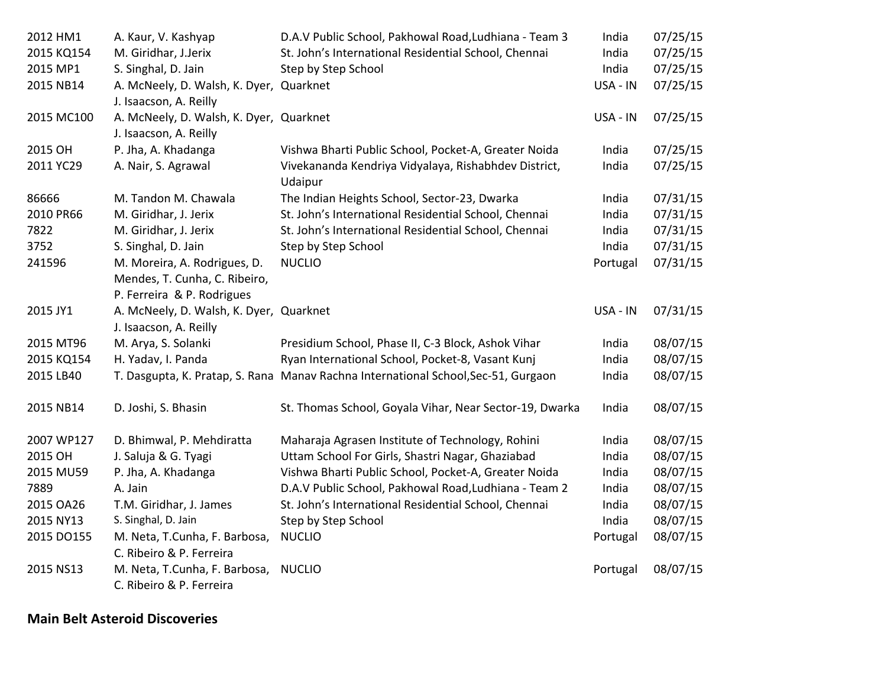| 2012 HM1   | A. Kaur, V. Kashyap                     | D.A.V Public School, Pakhowal Road, Ludhiana - Team 3                              | India    | 07/25/15 |
|------------|-----------------------------------------|------------------------------------------------------------------------------------|----------|----------|
| 2015 KQ154 | M. Giridhar, J.Jerix                    | St. John's International Residential School, Chennai                               | India    | 07/25/15 |
| 2015 MP1   | S. Singhal, D. Jain                     | Step by Step School                                                                | India    | 07/25/15 |
| 2015 NB14  | A. McNeely, D. Walsh, K. Dyer, Quarknet |                                                                                    | USA - IN | 07/25/15 |
|            | J. Isaacson, A. Reilly                  |                                                                                    |          |          |
| 2015 MC100 | A. McNeely, D. Walsh, K. Dyer, Quarknet |                                                                                    | USA - IN | 07/25/15 |
|            | J. Isaacson, A. Reilly                  |                                                                                    |          |          |
| 2015 OH    | P. Jha, A. Khadanga                     | Vishwa Bharti Public School, Pocket-A, Greater Noida                               | India    | 07/25/15 |
| 2011 YC29  | A. Nair, S. Agrawal                     | Vivekananda Kendriya Vidyalaya, Rishabhdev District,                               | India    | 07/25/15 |
|            |                                         | Udaipur                                                                            |          |          |
| 86666      | M. Tandon M. Chawala                    | The Indian Heights School, Sector-23, Dwarka                                       | India    | 07/31/15 |
| 2010 PR66  | M. Giridhar, J. Jerix                   | St. John's International Residential School, Chennai                               | India    | 07/31/15 |
| 7822       | M. Giridhar, J. Jerix                   | St. John's International Residential School, Chennai                               | India    | 07/31/15 |
| 3752       | S. Singhal, D. Jain                     | Step by Step School                                                                | India    | 07/31/15 |
| 241596     | M. Moreira, A. Rodrigues, D.            | <b>NUCLIO</b>                                                                      | Portugal | 07/31/15 |
|            | Mendes, T. Cunha, C. Ribeiro,           |                                                                                    |          |          |
|            | P. Ferreira & P. Rodrigues              |                                                                                    |          |          |
| 2015 JY1   | A. McNeely, D. Walsh, K. Dyer, Quarknet |                                                                                    | USA - IN | 07/31/15 |
|            | J. Isaacson, A. Reilly                  |                                                                                    |          |          |
| 2015 MT96  | M. Arya, S. Solanki                     | Presidium School, Phase II, C-3 Block, Ashok Vihar                                 | India    | 08/07/15 |
| 2015 KQ154 | H. Yadav, I. Panda                      | Ryan International School, Pocket-8, Vasant Kunj                                   | India    | 08/07/15 |
| 2015 LB40  |                                         | T. Dasgupta, K. Pratap, S. Rana Manav Rachna International School, Sec-51, Gurgaon | India    | 08/07/15 |
|            |                                         |                                                                                    |          |          |
| 2015 NB14  | D. Joshi, S. Bhasin                     | St. Thomas School, Goyala Vihar, Near Sector-19, Dwarka                            | India    | 08/07/15 |
|            |                                         |                                                                                    |          |          |
| 2007 WP127 | D. Bhimwal, P. Mehdiratta               | Maharaja Agrasen Institute of Technology, Rohini                                   | India    | 08/07/15 |
| 2015 OH    | J. Saluja & G. Tyagi                    | Uttam School For Girls, Shastri Nagar, Ghaziabad                                   | India    | 08/07/15 |
| 2015 MU59  | P. Jha, A. Khadanga                     | Vishwa Bharti Public School, Pocket-A, Greater Noida                               | India    | 08/07/15 |
| 7889       | A. Jain                                 | D.A.V Public School, Pakhowal Road, Ludhiana - Team 2                              | India    | 08/07/15 |
| 2015 OA26  | T.M. Giridhar, J. James                 | St. John's International Residential School, Chennai                               | India    | 08/07/15 |
| 2015 NY13  | S. Singhal, D. Jain                     | Step by Step School                                                                | India    | 08/07/15 |
| 2015 DO155 | M. Neta, T.Cunha, F. Barbosa,           | <b>NUCLIO</b>                                                                      | Portugal | 08/07/15 |
|            | C. Ribeiro & P. Ferreira                |                                                                                    |          |          |
| 2015 NS13  | M. Neta, T.Cunha, F. Barbosa,           | <b>NUCLIO</b>                                                                      | Portugal | 08/07/15 |
|            | C. Ribeiro & P. Ferreira                |                                                                                    |          |          |

**Main Belt Asteroid Discoveries**